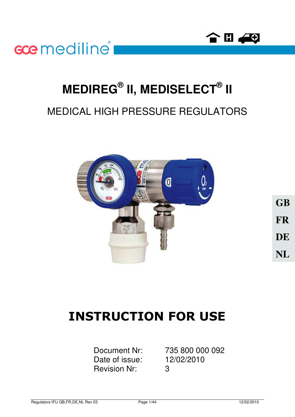



# **MEDIREG® II, MEDISELECT® II**

## MEDICAL HIGH PRESSURE REGULATORS



**GB FR DE NL**

## **INSTRUCTION FOR USE**

Date of issue: 12/02/2010 Revision Nr: 3

Document Nr: 735 800 000 092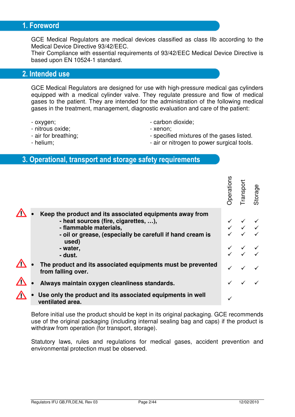## 1. Foreword

GCE Medical Regulators are medical devices classified as class IIb according to the Medical Device Directive 93/42/EEC.

Their Compliance with essential requirements of 93/42/EEC Medical Device Directive is based upon EN 10524-1 standard.

## 2. Intended use

GCE Medical Regulators are designed for use with high-pressure medical gas cylinders equipped with a medical cylinder valve. They regulate pressure and flow of medical gases to the patient. They are intended for the administration of the following medical gases in the treatment, management, diagnostic evaluation and care of the patient:

- oxygen;
- nitrous oxide;
- air for breathing;
- helium;
- carbon dioxide;
- xenon;
- specified mixtures of the gases listed.
- air or nitrogen to power surgical tools.
- 3. Operational, transport and storage safety requirements

|                                                                                                                                                                                                                         | <b>perations</b> | Transport                                  | Storage |
|-------------------------------------------------------------------------------------------------------------------------------------------------------------------------------------------------------------------------|------------------|--------------------------------------------|---------|
| Keep the product and its associated equipments away from<br>- heat sources (fire, cigarettes, ),<br>- flammable materials,<br>- oil or grease, (especially be carefull if hand cream is<br>used)<br>- water,<br>- dust. |                  | $\checkmark\quad\checkmark\quad\checkmark$ |         |
| The product and its associated equipments must be prevented<br>from falling over.                                                                                                                                       |                  |                                            |         |
| Always maintain oxygen cleanliness standards.                                                                                                                                                                           |                  |                                            |         |
| Use only the product and its associated equipments in well<br>ventilated area.                                                                                                                                          |                  |                                            |         |

Before initial use the product should be kept in its original packaging. GCE recommends use of the original packaging (including internal sealing bag and caps) if the product is withdraw from operation (for transport, storage).

Statutory laws, rules and regulations for medical gases, accident prevention and environmental protection must be observed.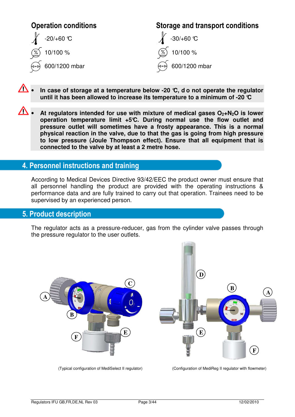

- $\Lambda$ • **In case of storage at a temperature below -20 °C, d o not operate the regulator until it has been allowed to increase its temperature to a minimum of -20 °C**
- ∧ • **At regulators intended for use with mixture of medical gases O2+N2O is lower operation temperature limit +5°C. During normal use the flow outlet and pressure outlet will sometimes have a frosty appearance. This is a normal physical reaction in the valve, due to that the gas is going from high pressure to low pressure (Joule Thompson effect). Ensure that all equipment that is connected to the valve by at least a 2 metre hose.**

## 4. Personnel instructions and training

According to Medical Devices Directive 93/42/EEC the product owner must ensure that all personnel handling the product are provided with the operating instructions & performance data and are fully trained to carry out that operation. Trainees need to be supervised by an experienced person.

#### **5. Product description**

The regulator acts as a pressure-reducer, gas from the cylinder valve passes through the pressure regulator to the user outlets.



(Typical configuration of MediSelect II regulator) (Configuration of MediReg II regulator with flowmeter)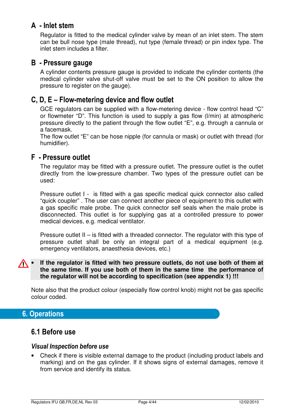## A - Inlet stem

Regulator is fitted to the medical cylinder valve by mean of an inlet stem. The stem can be bull nose type (male thread), nut type (female thread) or pin index type. The inlet stem includes a filter.

## B - Pressure gauge

A cylinder contents pressure gauge is provided to indicate the cylinder contents (the medical cylinder valve shut-off valve must be set to the ON position to allow the pressure to register on the gauge).

## C, D, E – Flow-metering device and flow outlet

GCE regulators can be supplied with a flow-metering device - flow control head "C" or flowmeter "D". This function is used to supply a gas flow (l/min) at atmospheric pressure directly to the patient through the flow outlet "E", e.g. through a cannula or a facemask.

The flow outlet "E" can be hose nipple (for cannula or mask) or outlet with thread (for humidifier).

## **F** - Pressure outlet

The regulator may be fitted with a pressure outlet. The pressure outlet is the outlet directly from the low-pressure chamber. Two types of the pressure outlet can be used:

Pressure outlet I - is fitted with a gas specific medical quick connector also called "quick coupler" . The user can connect another piece of equipment to this outlet with a gas specific male probe. The quick connector self seals when the male probe is disconnected. This outlet is for supplying gas at a controlled pressure to power medical devices, e.g. medical ventilator.

Pressure outlet II – is fitted with a threaded connector. The regulator with this type of pressure outlet shall be only an integral part of a medical equipment (e.g. emergency ventilators, anaesthesia devices, etc.)

#### • **If the regulator is fitted with two pressure outlets, do not use both of them at the same time. If you use both of them in the same time the performance of the regulator will not be according to specification (see appendix 1) !!!**

Note also that the product colour (especially flow control knob) might not be gas specific colour coded.

## **6. Operations**

## 6.1 Before use

#### **Visual Inspection before use**

• Check if there is visible external damage to the product (including product labels and marking) and on the gas cylinder. If it shows signs of external damages, remove it from service and identify its status.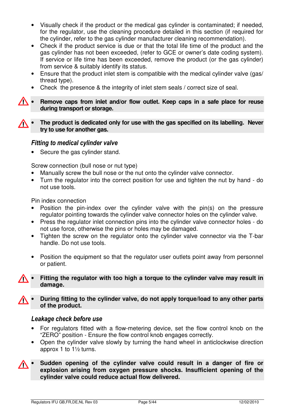- Visually check if the product or the medical gas cylinder is contaminated; if needed, for the regulator, use the cleaning procedure detailed in this section (if required for the cylinder, refer to the gas cylinder manufacturer cleaning recommendation).
- Check if the product service is due or that the total life time of the product and the gas cylinder has not been exceeded, (refer to GCE or owner's date coding system). If service or life time has been exceeded, remove the product (or the gas cylinder) from service & suitably identify its status.
- Ensure that the product inlet stem is compatible with the medical cylinder valve (gas/ thread type).
- Check the presence & the integrity of inlet stem seals / correct size of seal.
- **Remove caps from inlet and/or flow outlet. Keep caps in a safe place for reuse during transport or storage.**
- **The product is dedicated only for use with the gas specified on its labelling. Never try to use for another gas.**

#### **Fitting to medical cylinder valve**

• Secure the gas cylinder stand.

Screw connection (bull nose or nut type)

- Manually screw the bull nose or the nut onto the cylinder valve connector.
- Turn the regulator into the correct position for use and tighten the nut by hand do not use tools.

Pin index connection

- Position the pin-index over the cylinder valve with the pin(s) on the pressure regulator pointing towards the cylinder valve connector holes on the cylinder valve.
- Press the regulator inlet connection pins into the cylinder valve connector holes do not use force, otherwise the pins or holes may be damaged.
- Tighten the screw on the regulator onto the cylinder valve connector via the T-bar handle. Do not use tools.
- Position the equipment so that the regulator user outlets point away from personnel or patient.
- **Fitting the regulator with too high a torque to the cylinder valve may result in damage.**
- **During fitting to the cylinder valve, do not apply torque/load to any other parts of the product.**

#### Leakage check before use

- For regulators fitted with a flow-metering device, set the flow control knob on the "ZERO" position - Ensure the flow control knob engages correctly.
- Open the cylinder valve slowly by turning the hand wheel in anticlockwise direction approx 1 to 1½ turns.
- **Sudden opening of the cylinder valve could result in a danger of fire or**   $\sqrt{N}$ **explosion arising from oxygen pressure shocks. Insufficient opening of the cylinder valve could reduce actual flow delivered.**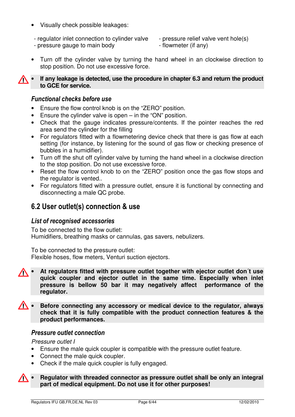- Visually check possible leakages:
- regulator inlet connection to cylinder valve
- pressure gauge to main body
- pressure relief valve vent hole(s)
- flowmeter (if any)
- Turn off the cylinder valve by turning the hand wheel in an clockwise direction to stop position. Do not use excessive force.
- **If any leakage is detected, use the procedure in chapter 6.3 and return the product**  W **to GCE for service.**

### **Functional checks before use**

- Ensure the flow control knob is on the "ZERO" position.
- Ensure the cylinder valve is open in the "ON" position.
- Check that the gauge indicates pressure/contents. If the pointer reaches the red area send the cylinder for the filling
- For regulators fitted with a flowmetering device check that there is gas flow at each setting (for instance, by listening for the sound of gas flow or checking presence of bubbles in a humidifier).
- Turn off the shut off cylinder valve by turning the hand wheel in a clockwise direction to the stop position. Do not use excessive force.
- Reset the flow control knob to on the "ZERO" position once the gas flow stops and the regulator is vented..
- For regulators fitted with a pressure outlet, ensure it is functional by connecting and disconnecting a male QC probe.

## 6.2 User outlet(s) connection & use

#### **List of recognised accessories**

To be connected to the flow outlet: Humidifiers, breathing masks or cannulas, gas savers, nebulizers.

To be connected to the pressure outlet: Flexible hoses, flow meters, Venturi suction ejectors.

- **At regulators fitted with pressure outlet together with ejector outlet don´t use quick coupler and ejector outlet in the same time. Especially when inlet pressure is bellow 50 bar it may negatively affect performance of the regulator.**
- $\sqrt{N}$ • **Before connecting any accessory or medical device to the regulator, always check that it is fully compatible with the product connection features & the product performances.**

#### **Pressure outlet connection**

*Pressure outlet I* 

- Ensure the male quick coupler is compatible with the pressure outlet feature.
- Connect the male quick coupler.
- Check if the male quick coupler is fully engaged.
- **Regulator with threaded connector as pressure outlet shall be only an integral part of medical equipment. Do not use it for other purposes!**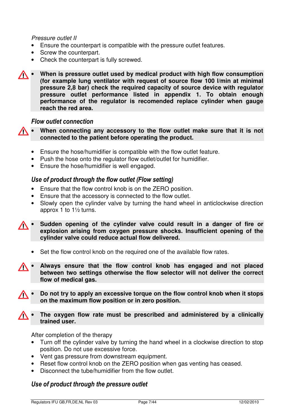#### *Pressure outlet II*

- Ensure the counterpart is compatible with the pressure outlet features.
- Screw the counterpart.
- Check the counterpart is fully screwed.
- **When is pressure outlet used by medical product with high flow consumption (for example lung ventilator with request of source flow 100 l/min at minimal pressure 2,8 bar) check the required capacity of source device with regulator pressure outlet performance listed in appendix 1. To obtain enough performance of the regulator is recomended replace cylinder when gauge reach the red area.**

#### **Flow outlet connection**

• **When connecting any accessory to the flow outlet make sure that it is not**  ∕∖ **connected to the patient before operating the product.** 

- Ensure the hose/humidifier is compatible with the flow outlet feature.
- Push the hose onto the regulator flow outlet/outlet for humidifier.
- Ensure the hose/humidifier is well engaged.

#### Use of product through the flow outlet (Flow setting)

- Ensure that the flow control knob is on the ZERO position.
- Ensure that the accessory is connected to the flow outlet.
- Slowly open the cylinder valve by turning the hand wheel in anticlockwise direction approx 1 to 1½ turns.

• **Sudden opening of the cylinder valve could result in a danger of fire or**   $\sqrt{N}$ **explosion arising from oxygen pressure shocks. Insufficient opening of the cylinder valve could reduce actual flow delivered.** 

- Set the flow control knob on the required one of the available flow rates.
- **Always ensure that the flow control knob has engaged and not placed**   $\sqrt{N}$ **between two settings otherwise the flow selector will not deliver the correct flow of medical gas.**
- **Do not try to apply an excessive torque on the flow control knob when it stops on the maximum flow position or in zero position.**
- **The oxygen flow rate must be prescribed and administered by a clinically trained user.**

After completion of the therapy

- Turn off the cylinder valve by turning the hand wheel in a clockwise direction to stop position. Do not use excessive force.
- Vent gas pressure from downstream equipment.
- Reset flow control knob on the ZERO position when gas venting has ceased.
- Disconnect the tube/humidifier from the flow outlet.

#### Use of product through the pressure outlet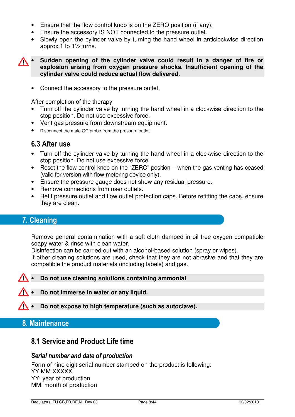- Ensure that the flow control knob is on the ZERO position (if any).
- Ensure the accessory IS NOT connected to the pressure outlet.
- Slowly open the cylinder valve by turning the hand wheel in anticlockwise direction approx 1 to 1½ turns.

• **Sudden opening of the cylinder valve could result in a danger of fire or explosion arising from oxygen pressure shocks. Insufficient opening of the cylinder valve could reduce actual flow delivered.** 

• Connect the accessory to the pressure outlet.

After completion of the therapy

- Turn off the cylinder valve by turning the hand wheel in a clockwise direction to the stop position. Do not use excessive force.
- Vent gas pressure from downstream equipment.
- Disconnect the male QC probe from the pressure outlet.

## 6.3 After use

- Turn off the cylinder valve by turning the hand wheel in a clockwise direction to the stop position. Do not use excessive force.
- Reset the flow control knob on the "ZERO" position when the gas venting has ceased (valid for version with flow-metering device only).
- Ensure the pressure gauge does not show any residual pressure.
- Remove connections from user outlets.
- Refit pressure outlet and flow outlet protection caps. Before refitting the caps, ensure they are clean.

## 7. Cleaning

Remove general contamination with a soft cloth damped in oil free oxygen compatible soapy water & rinse with clean water.

Disinfection can be carried out with an alcohol-based solution (spray or wipes).

If other cleaning solutions are used, check that they are not abrasive and that they are compatible the product materials (including labels) and gas.

#### • **Do not use cleaning solutions containing ammonia!**

• **Do not immerse in water or any liquid.** 

• **Do not expose to high temperature (such as autoclave).**

#### 8. Maintenance

## 8.1 Service and Product Life time

#### Serial number and date of production

Form of nine digit serial number stamped on the product is following: YY MM XXXXX YY: year of production MM: month of production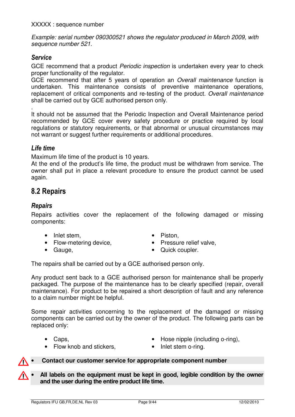*Example: serial number 090300521 shows the regulator produced in March 2009, with sequence number 521.*

#### **Service**

GCE recommend that a product *Periodic inspection* is undertaken every year to check proper functionality of the regulator.

GCE recommend that after 5 years of operation an *Overall maintenance* function is undertaken. This maintenance consists of preventive maintenance operations, replacement of critical components and re-testing of the product. *Overall maintenance* shall be carried out by GCE authorised person only.

. It should not be assumed that the Periodic Inspection and Overall Maintenance period recommended by GCE cover every safety procedure or practice required by local regulations or statutory requirements, or that abnormal or unusual circumstances may not warrant or suggest further requirements or additional procedures.

#### Life time

Maximum life time of the product is 10 years.

At the end of the product's life time, the product must be withdrawn from service. The owner shall put in place a relevant procedure to ensure the product cannot be used again.

## 8.2 Repairs

#### Repairs

Repairs activities cover the replacement of the following damaged or missing components:

- Inlet stem,
- Flow-metering device,
- Gauge,
- Piston,
- Pressure relief valve.
- Quick coupler.

The repairs shall be carried out by a GCE authorised person only.

Any product sent back to a GCE authorised person for maintenance shall be properly packaged. The purpose of the maintenance has to be clearly specified (repair, overall maintenance). For product to be repaired a short description of fault and any reference to a claim number might be helpful.

Some repair activities concerning to the replacement of the damaged or missing components can be carried out by the owner of the product. The following parts can be replaced only:

• Caps.

- Hose nipple (including o-ring).
- Flow knob and stickers,
- Inlet stem o-ring.

#### • **Contact our customer service for appropriate component number**

• **All labels on the equipment must be kept in good, legible condition by the owner and the user during the entire product life time.**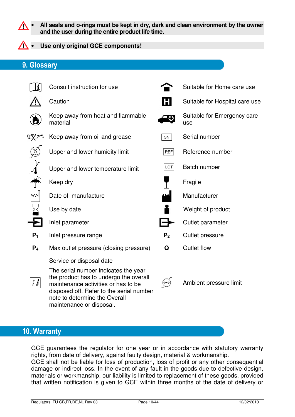• **All seals and o-rings must be kept in dry, dark and clean environment by the owner and the user during the entire product life time.** 

#### • **Use only original GCE components!**

## 9. Glossary



## 10. Warranty

GCE guarantees the regulator for one year or in accordance with statutory warranty rights, from date of delivery, against faulty design, material & workmanship. GCE shall not be liable for loss of production, loss of profit or any other consequential

damage or indirect loss. In the event of any fault in the goods due to defective design, materials or workmanship, our liability is limited to replacement of these goods, provided that written notification is given to GCE within three months of the date of delivery or